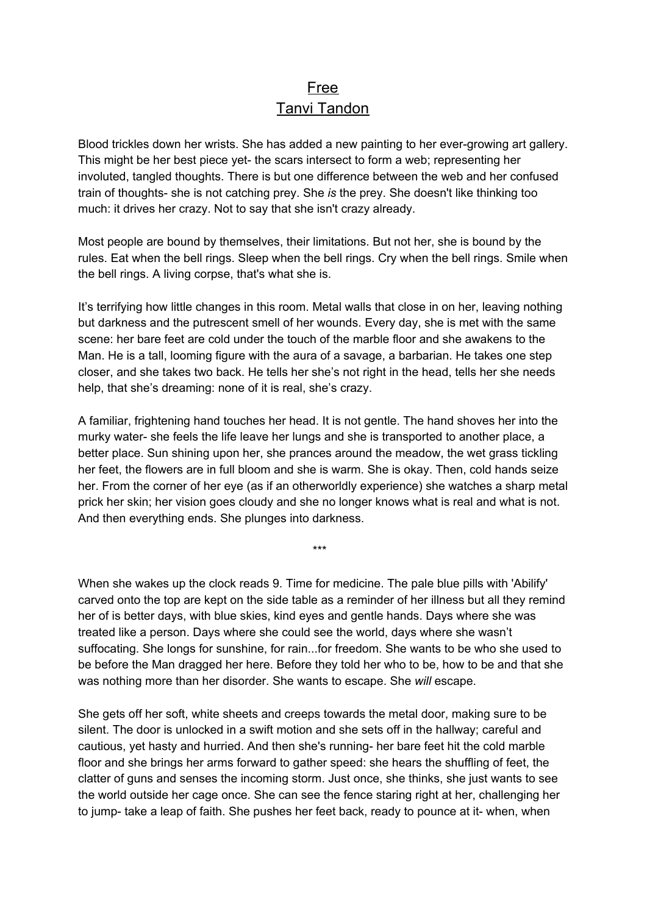## Free Tanvi Tandon

Blood trickles down her wrists. She has added a new painting to her ever-growing art gallery. This might be her best piece yet- the scars intersect to form a web; representing her involuted, tangled thoughts. There is but one difference between the web and her confused train of thoughts- she is not catching prey. She *is* the prey. She doesn't like thinking too much: it drives her crazy. Not to say that she isn't crazy already.

Most people are bound by themselves, their limitations. But not her, she is bound by the rules. Eat when the bell rings. Sleep when the bell rings. Cry when the bell rings. Smile when the bell rings. A living corpse, that's what she is.

It's terrifying how little changes in this room. Metal walls that close in on her, leaving nothing but darkness and the putrescent smell of her wounds. Every day, she is met with the same scene: her bare feet are cold under the touch of the marble floor and she awakens to the Man. He is a tall, looming figure with the aura of a savage, a barbarian. He takes one step closer, and she takes two back. He tells her she's not right in the head, tells her she needs help, that she's dreaming: none of it is real, she's crazy.

A familiar, frightening hand touches her head. It is not gentle. The hand shoves her into the murky water- she feels the life leave her lungs and she is transported to another place, a better place. Sun shining upon her, she prances around the meadow, the wet grass tickling her feet, the flowers are in full bloom and she is warm. She is okay. Then, cold hands seize her. From the corner of her eye (as if an otherworldly experience) she watches a sharp metal prick her skin; her vision goes cloudy and she no longer knows what is real and what is not. And then everything ends. She plunges into darkness.

\*\*\*

When she wakes up the clock reads 9. Time for medicine. The pale blue pills with 'Abilify' carved onto the top are kept on the side table as a reminder of her illness but all they remind her of is better days, with blue skies, kind eyes and gentle hands. Days where she was treated like a person. Days where she could see the world, days where she wasn't suffocating. She longs for sunshine, for rain...for freedom. She wants to be who she used to be before the Man dragged her here. Before they told her who to be, how to be and that she was nothing more than her disorder. She wants to escape. She *will* escape.

She gets off her soft, white sheets and creeps towards the metal door, making sure to be silent. The door is unlocked in a swift motion and she sets off in the hallway; careful and cautious, yet hasty and hurried. And then she's running- her bare feet hit the cold marble floor and she brings her arms forward to gather speed: she hears the shuffling of feet, the clatter of guns and senses the incoming storm. Just once, she thinks, she just wants to see the world outside her cage once. She can see the fence staring right at her, challenging her to jump- take a leap of faith. She pushes her feet back, ready to pounce at it- when, when